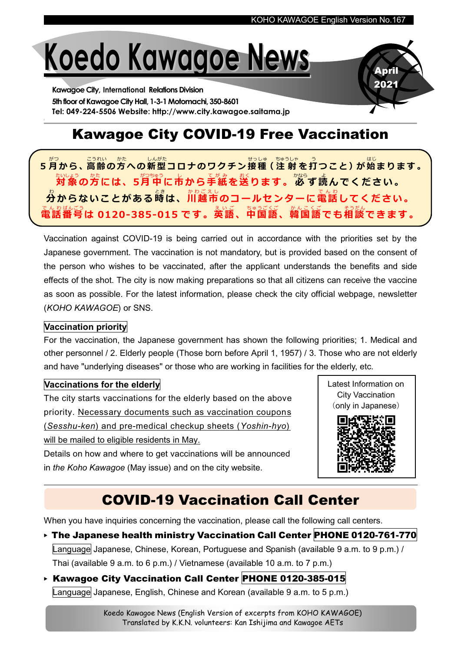April 2021

# Koedo Kawagoe News

Kawagoe City, International Relations Division 5th floor of Kawagoe City Hall, 1-3-1 Motomachi, 350-8601 Tel: 049-224-5506 Website: http://www.city.kawagoe.saitama.jp

## Kawagoe City COVID-19 Free Vaccination

5月から、高齢の方への新型コロナのワクチン接種 (注射を打つこと) が始まります。 <sub>たいよう。</sub><br>対象の方には、5月中に市から手紙を送ります。必ず読んでください。 ゟ゚ゕらないことがある嵵は、灬<u>。。。</u><br>分からないことがある嵵は、川越市のコールセンターに電話してください。 電話 で ん わ <sub>ばんごう</sub><br>番号は 0120-385-015 です。英語、中国語、韓国語でも相談できます。

Vaccination against COVID-19 is being carried out in accordance with the priorities set by the Japanese government. The vaccination is not mandatory, but is provided based on the consent of the person who wishes to be vaccinated, after the applicant understands the benefits and side effects of the shot. The city is now making preparations so that all citizens can receive the vaccine as soon as possible. For the latest information, please check the city official webpage, newsletter (KOHO KAWAGOE) or SNS.

#### Vaccination priority

For the vaccination, the Japanese government has shown the following priorities; 1. Medical and other personnel / 2. Elderly people (Those born before April 1, 1957) / 3. Those who are not elderly and have "underlying diseases" or those who are working in facilities for the elderly, etc.

#### Vaccinations for the elderly

The city starts vaccinations for the elderly based on the above priority. Necessary documents such as vaccination coupons (Sesshu-ken) and pre-medical checkup sheets (Yoshin-hyo) will be mailed to eligible residents in May.

Details on how and where to get vaccinations will be announced in the Koho Kawagoe (May issue) and on the city website.





When you have inquiries concerning the vaccination, please call the following call centers.

- ▶ The Japanese health ministry Vaccination Call Center PHONE 0120-761-770 Language Japanese, Chinese, Korean, Portuguese and Spanish (available 9 a.m. to 9 p.m.) / Thai (available 9 a.m. to 6 p.m.) / Vietnamese (available 10 a.m. to 7 p.m.)
- ▶ Kawagoe City Vaccination Call Center PHONE 0120-385-015 Language Japanese, English, Chinese and Korean (available 9 a.m. to 5 p.m.)

Koedo Kawagoe News (English Version of excerpts from KOHO KAWAGOE) Translated by K.K.N. volunteers: Kan Ishijima and Kawagoe AETs